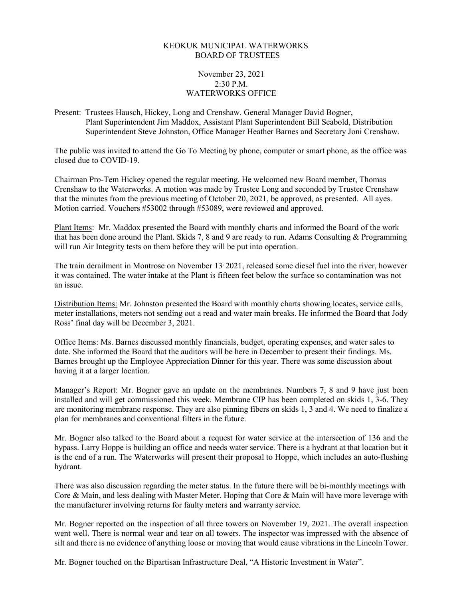## KEOKUK MUNICIPAL WATERWORKS BOARD OF TRUSTEES

## November 23, 2021 2:30 P.M. WATERWORKS OFFICE

Present: Trustees Hausch, Hickey, Long and Crenshaw. General Manager David Bogner, Plant Superintendent Jim Maddox, Assistant Plant Superintendent Bill Seabold, Distribution Superintendent Steve Johnston, Office Manager Heather Barnes and Secretary Joni Crenshaw.

The public was invited to attend the Go To Meeting by phone, computer or smart phone, as the office was closed due to COVID-19.

Chairman Pro-Tem Hickey opened the regular meeting. He welcomed new Board member, Thomas Crenshaw to the Waterworks. A motion was made by Trustee Long and seconded by Trustee Crenshaw that the minutes from the previous meeting of October 20, 2021, be approved, as presented. All ayes. Motion carried. Vouchers #53002 through #53089, were reviewed and approved.

Plant Items: Mr. Maddox presented the Board with monthly charts and informed the Board of the work that has been done around the Plant. Skids 7, 8 and 9 are ready to run. Adams Consulting & Programming will run Air Integrity tests on them before they will be put into operation.

The train derailment in Montrose on November 13, 2021, released some diesel fuel into the river, however it was contained. The water intake at the Plant is fifteen feet below the surface so contamination was not an issue.

Distribution Items: Mr. Johnston presented the Board with monthly charts showing locates, service calls, meter installations, meters not sending out a read and water main breaks. He informed the Board that Jody Ross' final day will be December 3, 2021.

Office Items: Ms. Barnes discussed monthly financials, budget, operating expenses, and water sales to date. She informed the Board that the auditors will be here in December to present their findings. Ms. Barnes brought up the Employee Appreciation Dinner for this year. There was some discussion about having it at a larger location.

Manager's Report: Mr. Bogner gave an update on the membranes. Numbers 7, 8 and 9 have just been installed and will get commissioned this week. Membrane CIP has been completed on skids 1, 3-6. They are monitoring membrane response. They are also pinning fibers on skids 1, 3 and 4. We need to finalize a plan for membranes and conventional filters in the future.

Mr. Bogner also talked to the Board about a request for water service at the intersection of 136 and the bypass. Larry Hoppe is building an office and needs water service. There is a hydrant at that location but it is the end of a run. The Waterworks will present their proposal to Hoppe, which includes an auto-flushing hydrant.

There was also discussion regarding the meter status. In the future there will be bi-monthly meetings with Core & Main, and less dealing with Master Meter. Hoping that Core & Main will have more leverage with the manufacturer involving returns for faulty meters and warranty service.

Mr. Bogner reported on the inspection of all three towers on November 19, 2021. The overall inspection went well. There is normal wear and tear on all towers. The inspector was impressed with the absence of silt and there is no evidence of anything loose or moving that would cause vibrations in the Lincoln Tower.

Mr. Bogner touched on the Bipartisan Infrastructure Deal, "A Historic Investment in Water".